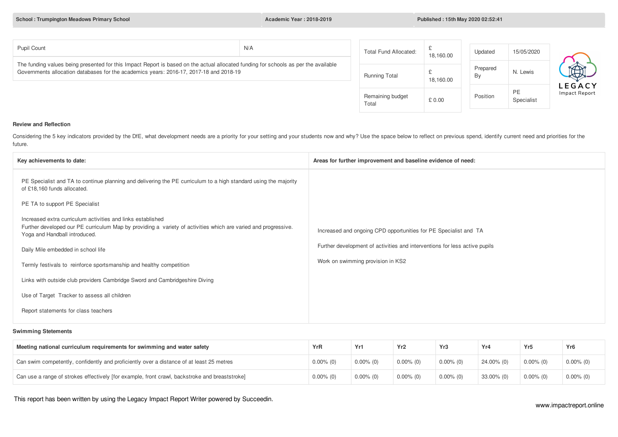**School : Trumpington Meadows Primary School Academic Year : 2018-2019 Published : 15th May 2020 02:52:41**

| Pupil Count                                                                                                                                                                                                                   | N/A | Total Fund Allocated:      | 18,160.00 | Updated        | 15/05/2020       |                                |
|-------------------------------------------------------------------------------------------------------------------------------------------------------------------------------------------------------------------------------|-----|----------------------------|-----------|----------------|------------------|--------------------------------|
| The funding values being presented for this Impact Report is based on the actual allocated funding for schools as per the available<br>Governments allocation databases for the academics years: 2016-17, 2017-18 and 2018-19 |     | Running Total              | 18,160.00 | Prepared<br>By | N. Lewis         | $\bigoplus$                    |
|                                                                                                                                                                                                                               |     | Remaining budget<br>$   -$ | £ 0.00    | Position       | PE<br>Specialist | <b>LEGACY</b><br>Impact Report |

Total

### **Review and Reflection**

Considering the 5 key indicators provided by the DfE, what development needs are a priority for your setting and your students now and why? Use the space below to reflect on previous spend, identify current need and priori future.

| Key achievements to date:                                                                                                                                                                                      | Areas for further improvement and baseline evidence of need:               |
|----------------------------------------------------------------------------------------------------------------------------------------------------------------------------------------------------------------|----------------------------------------------------------------------------|
| PE Specialist and TA to continue planning and delivering the PE curriculum to a high standard using the majority<br>of £18,160 funds allocated.                                                                |                                                                            |
| PE TA to support PE Specialist                                                                                                                                                                                 |                                                                            |
| Increased extra curriculum activities and links established<br>Further developed our PE curriculum Map by providing a variety of activities which are varied and progressive.<br>Yoga and Handball introduced. | Increased and ongoing CPD opportunities for PE Specialist and TA           |
| Daily Mile embedded in school life                                                                                                                                                                             | Further development of activities and interventions for less active pupils |
| Termly festivals to reinforce sportsmanship and healthy competition                                                                                                                                            | Work on swimming provision in KS2                                          |
| Links with outside club providers Cambridge Sword and Cambridgeshire Diving                                                                                                                                    |                                                                            |
| Use of Target Tracker to assess all children                                                                                                                                                                   |                                                                            |
| Report statements for class teachers                                                                                                                                                                           |                                                                            |
|                                                                                                                                                                                                                |                                                                            |

### **Swimming Stetements**

| Meeting national curriculum requirements for swimming and water safety                         | YrR          | Yr1          | Yr <sub>2</sub> | Yr3          | Yr4        | Yr5          | Yr6          |
|------------------------------------------------------------------------------------------------|--------------|--------------|-----------------|--------------|------------|--------------|--------------|
| Can swim competently, confidently and proficiently over a distance of at least 25 metres       | $0.00\%$ (0) | $0.00\%$ (0) | $0.00\%$ (0)    | $0.00\%$ (0) | 24.00% (0) | $0.00\%$ (0) | $0.00\%$ (0) |
| Can use a range of strokes effectively [for example, front crawl, backstroke and breaststroke] | $0.00\%$ (0) | $0.00\%$ (0) | $0.00\%$ (0)    | $0.00\%$ (0) | 33.00% (0) | $0.00\%$ (0) | $0.00\%$ (0) |

This report has been written by using the Legacy Impact Report Writer powered by Succeedin.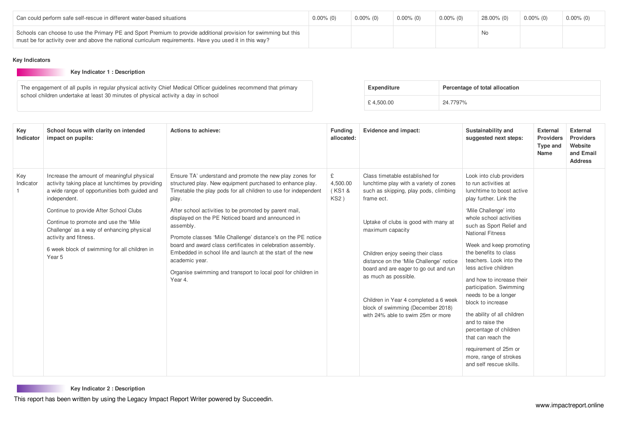| Can could perform safe self-rescue in different water-based situations                                                                                                                                                      | $0.00\%$ (0) | $0.00\%$ (0) | $0.00\%$ (0) | $0.00\%$ (0) | 28.00% (0) | $0.00\%$ (0) | $0.00\%$ (0) |
|-----------------------------------------------------------------------------------------------------------------------------------------------------------------------------------------------------------------------------|--------------|--------------|--------------|--------------|------------|--------------|--------------|
| Schools can choose to use the Primary PE and Sport Premium to provide additional provision for swimming but this<br>must be for activity over and above the national curriculum requirements. Have you used it in this way? |              |              |              |              | No.        |              |              |

### **Key Indicators**

### **Key Indicator 1 : Description**

The engagement of all pupils in regular physical activity Chief Medical Officer guidelines recommend that primary school children undertake at least 30 minutes of physical activity a day in school

| Expenditure | Percentage of total allocation |
|-------------|--------------------------------|
| £4.500.00   | 24.7797%                       |

| Key<br>Indicator | School focus with clarity on intended<br>impact on pupils:                                                                                                                                                                                                                                                                                                                         | Actions to achieve:                                                                                                                                                                                                                                                                                                                                                                                                                                                                                                                                                                                                       | <b>Funding</b><br>allocated:                | Evidence and impact:                                                                                                                                                                                                                                                                                                                                                                                                                                             | Sustainability and<br>suggested next steps:                                                                                                                                                                                                                                                                                                                                                                                                                                                                                                                                                                     | <b>External</b><br><b>Providers</b><br>Type and<br>Name | <b>External</b><br><b>Providers</b><br>Website<br>and Email<br><b>Address</b> |
|------------------|------------------------------------------------------------------------------------------------------------------------------------------------------------------------------------------------------------------------------------------------------------------------------------------------------------------------------------------------------------------------------------|---------------------------------------------------------------------------------------------------------------------------------------------------------------------------------------------------------------------------------------------------------------------------------------------------------------------------------------------------------------------------------------------------------------------------------------------------------------------------------------------------------------------------------------------------------------------------------------------------------------------------|---------------------------------------------|------------------------------------------------------------------------------------------------------------------------------------------------------------------------------------------------------------------------------------------------------------------------------------------------------------------------------------------------------------------------------------------------------------------------------------------------------------------|-----------------------------------------------------------------------------------------------------------------------------------------------------------------------------------------------------------------------------------------------------------------------------------------------------------------------------------------------------------------------------------------------------------------------------------------------------------------------------------------------------------------------------------------------------------------------------------------------------------------|---------------------------------------------------------|-------------------------------------------------------------------------------|
| Key<br>Indicator | Increase the amount of meaningful physical<br>activity taking place at lunchtimes by providing<br>a wide range of opportunities both guided and<br>independent.<br>Continue to provide After School Clubs<br>Continue to promote and use the 'Mile<br>Challenge' as a way of enhancing physical<br>activity and fitness.<br>6 week block of swimming for all children in<br>Year 5 | Ensure TA' understand and promote the new play zones for<br>structured play. New equipment purchased to enhance play.<br>Timetable the play pods for all children to use for independent<br>play.<br>After school activities to be promoted by parent mail,<br>displayed on the PE Noticed board and announced in<br>assembly.<br>Promote classes 'Mile Challenge' distance's on the PE notice<br>board and award class certificates in celebration assembly.<br>Embedded in school life and launch at the start of the new<br>academic year.<br>Organise swimming and transport to local pool for children in<br>Year 4. | £<br>4,500.00<br>(KS1&<br>KS <sub>2</sub> ) | Class timetable established for<br>lunchtime play with a variety of zones<br>such as skipping, play pods, climbing<br>frame ect.<br>Uptake of clubs is good with many at<br>maximum capacity<br>Children enjoy seeing their class<br>distance on the 'Mile Challenge' notice<br>board and are eager to go out and run<br>as much as possible.<br>Children in Year 4 completed a 6 week<br>block of swimming (December 2018)<br>with 24% able to swim 25m or more | Look into club providers<br>to run activities at<br>lunchtime to boost active<br>play further. Link the<br>'Mile Challenge' into<br>whole school activities<br>such as Sport Relief and<br><b>National Fitness</b><br>Week and keep promoting<br>the benefits to class<br>teachers. Look into the<br>less active children<br>and how to increase their<br>participation. Swimming<br>needs to be a longer<br>block to increase<br>the ability of all children<br>and to raise the<br>percentage of children<br>that can reach the<br>requirement of 25m or<br>more, range of strokes<br>and self rescue skills. |                                                         |                                                                               |

**Key Indicator 2 : [Description](#)**

This report has been written by using the Legacy Impact Report Writer powered by Succeedin.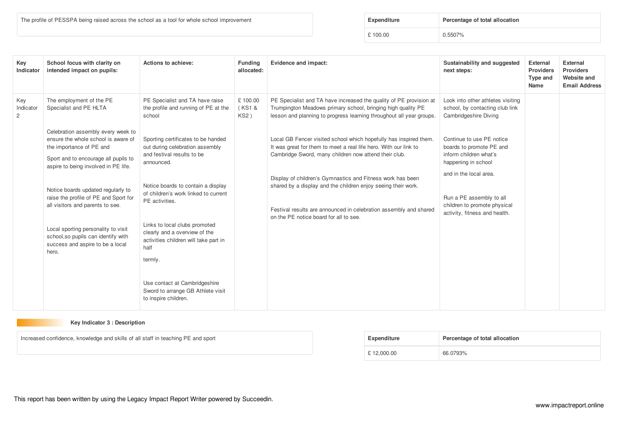The profile of PESSPA being raised across the school as a tool for whole school improvement

| Expenditure | Percentage of total allocation |
|-------------|--------------------------------|
| £100.00     | 0.5507%                        |

| Key<br>Indicator                   | School focus with clarity on<br>intended impact on pupils:                                                                                                                                                                                                                                                                                                                                                                          | Actions to achieve:                                                                                                                                                                                                                                                                                                                                                                                                                           | <b>Funding</b><br>allocated: | Evidence and impact:                                                                                                                                                                                                                                                                                                                                                                                                                         | Sustainability and suggested<br>next steps:                                                                                                                                                                                   | <b>External</b><br><b>Providers</b><br>Type and<br>Name | <b>External</b><br><b>Providers</b><br>Website and<br><b>Email Address</b> |
|------------------------------------|-------------------------------------------------------------------------------------------------------------------------------------------------------------------------------------------------------------------------------------------------------------------------------------------------------------------------------------------------------------------------------------------------------------------------------------|-----------------------------------------------------------------------------------------------------------------------------------------------------------------------------------------------------------------------------------------------------------------------------------------------------------------------------------------------------------------------------------------------------------------------------------------------|------------------------------|----------------------------------------------------------------------------------------------------------------------------------------------------------------------------------------------------------------------------------------------------------------------------------------------------------------------------------------------------------------------------------------------------------------------------------------------|-------------------------------------------------------------------------------------------------------------------------------------------------------------------------------------------------------------------------------|---------------------------------------------------------|----------------------------------------------------------------------------|
| Key<br>Indicator<br>$\overline{2}$ | The employment of the PE<br>Specialist and PE HLTA                                                                                                                                                                                                                                                                                                                                                                                  | PE Specialist and TA have raise<br>the profile and running of PE at the<br>school                                                                                                                                                                                                                                                                                                                                                             | £100.00<br>(KS1 &<br>KS2)    | PE Specialist and TA have increased the quality of PE provision at<br>Trumpington Meadows primary school, bringing high quality PE<br>lesson and planning to progress learning throughout all year groups.                                                                                                                                                                                                                                   | Look into other athletes visiting<br>school, by contacting club link<br>Cambridgeshire Diving                                                                                                                                 |                                                         |                                                                            |
|                                    | Celebration assembly every week to<br>ensure the whole school is aware of<br>the importance of PE and<br>Sport and to encourage all pupils to<br>aspire to being involved in PE life.<br>Notice boards updated regularly to<br>raise the profile of PE and Sport for<br>all visitors and parents to see.<br>Local sporting personality to visit<br>school, so pupils can identify with<br>success and aspire to be a local<br>hero. | Sporting certificates to be handed<br>out during celebration assembly<br>and festival results to be<br>announced.<br>Notice boards to contain a display<br>of children's work linked to current<br>PE activities.<br>Links to local clubs promoted<br>clearly and a overview of the<br>activities children will take part in<br>half<br>termly.<br>Use contact at Cambridgeshire<br>Sword to arrange GB Athlete visit<br>to inspire children. |                              | Local GB Fencer visited school which hopefully has inspired them.<br>It was great for them to meet a real life hero. With our link to<br>Cambridge Sword, many children now attend their club.<br>Display of children's Gymnastics and Fitness work has been<br>shared by a display and the children enjoy seeing their work.<br>Festival results are announced in celebration assembly and shared<br>on the PE notice board for all to see. | Continue to use PE notice<br>boards to promote PE and<br>inform children what's<br>happening in school<br>and in the local area.<br>Run a PE assembly to all<br>children to promote physical<br>activity, fitness and health. |                                                         |                                                                            |

# **Key Indicator 3 : Description**

Increased confidence, knowledge and skills of all staff in teaching PE and sport

| Expenditure | Percentage of total allocation |
|-------------|--------------------------------|
| £12,000.00  | 66.0793%                       |

This report has been written by using the Legacy Impact Report Writer powered by Succeedin.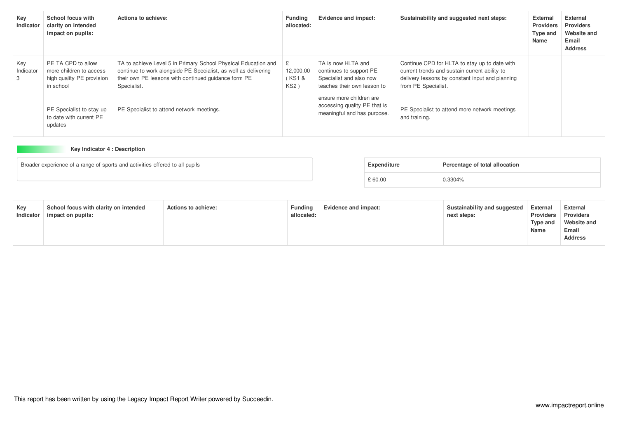| Key<br>Indicator      | School focus with<br>clarity on intended<br>impact on pupils:                                                       | Actions to achieve:                                                                                                                                                                                                                                   | <b>Funding</b><br>allocated: | Evidence and impact:                                                                                                                                                                               | Sustainability and suggested next steps:                                                                                                                                                                                  | <b>External</b><br><b>Providers</b><br>Type and<br>Name | <b>External</b><br><b>Providers</b><br>Website and<br>Email<br><b>Address</b> |
|-----------------------|---------------------------------------------------------------------------------------------------------------------|-------------------------------------------------------------------------------------------------------------------------------------------------------------------------------------------------------------------------------------------------------|------------------------------|----------------------------------------------------------------------------------------------------------------------------------------------------------------------------------------------------|---------------------------------------------------------------------------------------------------------------------------------------------------------------------------------------------------------------------------|---------------------------------------------------------|-------------------------------------------------------------------------------|
| Key<br>Indicator<br>3 | PE TA CPD to allow<br>more children to access<br>high quality PE provision<br>in school<br>PE Specialist to stay up | TA to achieve Level 5 in Primary School Physical Education and<br>continue to work alongside PE Specialist, as well as delivering<br>their own PE lessons with continued quidance form PE<br>Specialist.<br>PE Specialist to attend network meetings. | 12,000.00<br>(KS1 &<br>KS2)  | TA is now HLTA and<br>continues to support PE<br>Specialist and also now<br>teaches their own lesson to<br>ensure more children are<br>accessing quality PE that is<br>meaningful and has purpose. | Continue CPD for HLTA to stay up to date with<br>current trends and sustain current ability to<br>delivery lessons by constant input and planning<br>from PE Specialist.<br>PE Specialist to attend more network meetings |                                                         |                                                                               |
|                       | to date with current PE<br>updates                                                                                  |                                                                                                                                                                                                                                                       |                              |                                                                                                                                                                                                    | and training.                                                                                                                                                                                                             |                                                         |                                                                               |

# **Key Indicator 4 : Description**

| Broader experience of a range of sports and activities offered to all pupils | Expenditure | Percentage of total allocation |
|------------------------------------------------------------------------------|-------------|--------------------------------|
|                                                                              | £ 60.00     | 0.3304%                        |

| Key<br>Indicator | School focus with clarity on intended<br>impact on pupils: | <b>Actions to achieve:</b> | <b>Funding</b><br>allocated: | Evidence and impact: | Sustainability and suggested<br>next steps: | <b>External</b><br><b>Providers</b><br>Tvpe and<br>Name | <b>External</b><br><b>Providers</b><br>Website and<br>Email<br><b>Address</b> |
|------------------|------------------------------------------------------------|----------------------------|------------------------------|----------------------|---------------------------------------------|---------------------------------------------------------|-------------------------------------------------------------------------------|
|------------------|------------------------------------------------------------|----------------------------|------------------------------|----------------------|---------------------------------------------|---------------------------------------------------------|-------------------------------------------------------------------------------|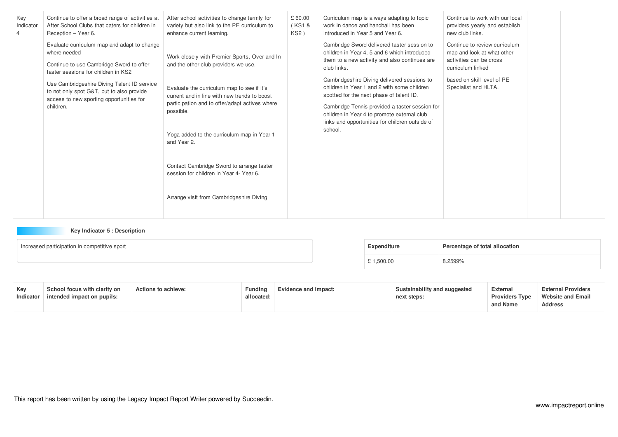| Key<br>Indicator<br>4 | Continue to offer a broad range of activities at<br>After School Clubs that caters for children in<br>Reception - Year 6.                                                                                                                                                                           | After school activities to change termly for<br>variety but also link to the PE curriculum to<br>enhance current learning.                                                                                                                                                                                                                                                                                                                          | £ 60.00<br>(KS1 &<br>KS2) | Curriculum map is always adapting to topic<br>work in dance and handball has been<br>introduced in Year 5 and Year 6.                                                                                                                                                                                                                                                                                                                                                | Continue to work with our local<br>providers yearly and establish<br>new club links.                                                                              |  |
|-----------------------|-----------------------------------------------------------------------------------------------------------------------------------------------------------------------------------------------------------------------------------------------------------------------------------------------------|-----------------------------------------------------------------------------------------------------------------------------------------------------------------------------------------------------------------------------------------------------------------------------------------------------------------------------------------------------------------------------------------------------------------------------------------------------|---------------------------|----------------------------------------------------------------------------------------------------------------------------------------------------------------------------------------------------------------------------------------------------------------------------------------------------------------------------------------------------------------------------------------------------------------------------------------------------------------------|-------------------------------------------------------------------------------------------------------------------------------------------------------------------|--|
|                       | Evaluate curriculum map and adapt to change<br>where needed<br>Continue to use Cambridge Sword to offer<br>taster sessions for children in KS2<br>Use Cambridgeshire Diving Talent ID service<br>to not only spot G&T, but to also provide<br>access to new sporting opportunities for<br>children. | Work closely with Premier Sports, Over and In<br>and the other club providers we use.<br>Evaluate the curriculum map to see if it's<br>current and in line with new trends to boost<br>participation and to offer/adapt actives where<br>possible.<br>Yoga added to the curriculum map in Year 1<br>and Year 2.<br>Contact Cambridge Sword to arrange taster<br>session for children in Year 4- Year 6.<br>Arrange visit from Cambridgeshire Diving |                           | Cambridge Sword delivered taster session to<br>children in Year 4, 5 and 6 which introduced<br>them to a new activity and also continues are<br>club links.<br>Cambridgeshire Diving delivered sessions to<br>children in Year 1 and 2 with some children<br>spotted for the next phase of talent ID.<br>Cambridge Tennis provided a taster session for<br>children in Year 4 to promote external club<br>links and opportunities for children outside of<br>school. | Continue to review curriculum<br>map and look at what other<br>activities can be cross<br>curriculum linked<br>based on skill level of PE<br>Specialist and HLTA. |  |

# **Key Indicator 5 : Description**

| Increased participation in competitive sport |  | Expenditure | Percentage of total allocation |
|----------------------------------------------|--|-------------|--------------------------------|
|                                              |  | £ 1,500.00  | 8.2599%                        |

| Kev<br>Indicator | School focus with clarity on<br>intended impact on pupils: | <b>Actions to achieve:</b> | <b>Fundina</b><br>allocated: | Evidence and impact: | Sustainability and suggested<br>next steps: | External<br><b>Providers Type</b><br>and Name | <b>External Providers</b><br><b>Website and Email</b><br><b>Address</b> |
|------------------|------------------------------------------------------------|----------------------------|------------------------------|----------------------|---------------------------------------------|-----------------------------------------------|-------------------------------------------------------------------------|
|------------------|------------------------------------------------------------|----------------------------|------------------------------|----------------------|---------------------------------------------|-----------------------------------------------|-------------------------------------------------------------------------|